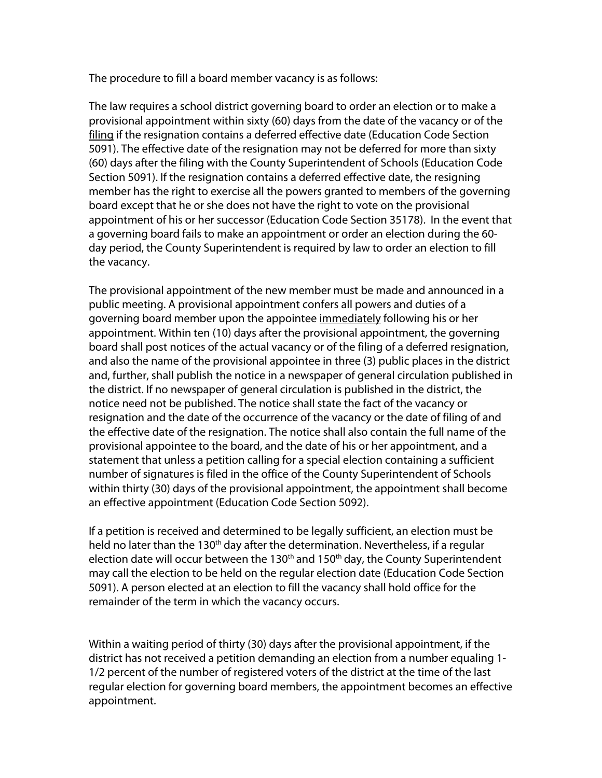The procedure to fill a board member vacancy is as follows:

The law requires a school district governing board to order an election or to make a provisional appointment within sixty (60) days from the date of the vacancy or of the filing if the resignation contains a deferred effective date (Education Code Section 5091). The effective date of the resignation may not be deferred for more than sixty (60) days after the filing with the County Superintendent of Schools (Education Code Section 5091). If the resignation contains a deferred effective date, the resigning member has the right to exercise all the powers granted to members of the governing board except that he or she does not have the right to vote on the provisional appointment of his or her successor (Education Code Section 35178). In the event that a governing board fails to make an appointment or order an election during the 60 day period, the County Superintendent is required by law to order an election to fill the vacancy.

The provisional appointment of the new member must be made and announced in a public meeting. A provisional appointment confers all powers and duties of a governing board member upon the appointee immediately following his or her appointment. Within ten (10) days after the provisional appointment, the governing board shall post notices of the actual vacancy or of the filing of a deferred resignation, and also the name of the provisional appointee in three (3) public places in the district and, further, shall publish the notice in a newspaper of general circulation published in the district. If no newspaper of general circulation is published in the district, the notice need not be published. The notice shall state the fact of the vacancy or resignation and the date of the occurrence of the vacancy or the date of filing of and the effective date of the resignation. The notice shall also contain the full name of the provisional appointee to the board, and the date of his or her appointment, and a statement that unless a petition calling for a special election containing a sufficient number of signatures is filed in the office of the County Superintendent of Schools within thirty (30) days of the provisional appointment, the appointment shall become an effective appointment (Education Code Section 5092).

If a petition is received and determined to be legally sufficient, an election must be held no later than the 130<sup>th</sup> day after the determination. Nevertheless, if a regular election date will occur between the 130<sup>th</sup> and 150<sup>th</sup> day, the County Superintendent may call the election to be held on the regular election date (Education Code Section 5091). A person elected at an election to fill the vacancy shall hold office for the remainder of the term in which the vacancy occurs.

Within a waiting period of thirty (30) days after the provisional appointment, if the district has not received a petition demanding an election from a number equaling 1- 1/2 percent of the number of registered voters of the district at the time of the last regular election for governing board members, the appointment becomes an effective appointment.